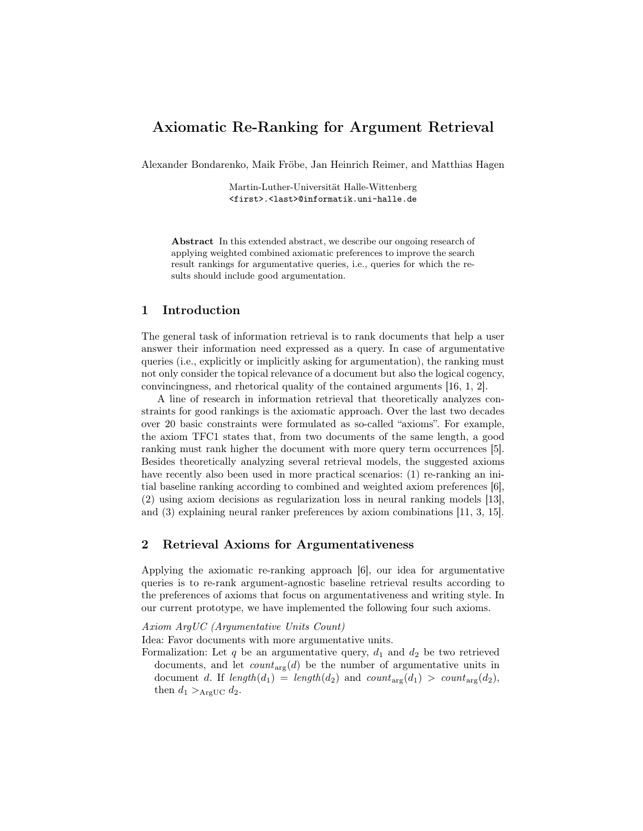# Axiomatic Re-Ranking for Argument Retrieval

Alexander Bondarenko, Maik Fröbe, Jan Heinrich Reimer, and Matthias Hagen

Martin-Luther-Universität Halle-Wittenberg <first>.<last>@informatik.uni-halle.de

Abstract In this extended abstract, we describe our ongoing research of applying weighted combined axiomatic preferences to improve the search result rankings for argumentative queries, i.e., queries for which the results should include good argumentation.

## 1 Introduction

The general task of information retrieval is to rank documents that help a user answer their information need expressed as a query. In case of argumentative queries (i.e., explicitly or implicitly asking for argumentation), the ranking must not only consider the topical relevance of a document but also the logical cogency, convincingness, and rhetorical quality of the contained arguments [16, 1, 2].

A line of research in information retrieval that theoretically analyzes constraints for good rankings is the axiomatic approach. Over the last two decades over 20 basic constraints were formulated as so-called "axioms". For example, the axiom TFC1 states that, from two documents of the same length, a good ranking must rank higher the document with more query term occurrences [5]. Besides theoretically analyzing several retrieval models, the suggested axioms have recently also been used in more practical scenarios: (1) re-ranking an initial baseline ranking according to combined and weighted axiom preferences [6], (2) using axiom decisions as regularization loss in neural ranking models [13], and (3) explaining neural ranker preferences by axiom combinations [11, 3, 15].

# 2 Retrieval Axioms for Argumentativeness

Applying the axiomatic re-ranking approach [6], our idea for argumentative queries is to re-rank argument-agnostic baseline retrieval results according to the preferences of axioms that focus on argumentativeness and writing style. In our current prototype, we have implemented the following four such axioms.

Axiom ArgUC (Argumentative Units Count)

Idea: Favor documents with more argumentative units.

Formalization: Let q be an argumentative query,  $d_1$  and  $d_2$  be two retrieved documents, and let  $count_{\text{arg}}(d)$  be the number of argumentative units in document d. If  $length(d_1) = length(d_2)$  and  $count_{\text{arg}}(d_1) > count_{\text{arg}}(d_2)$ , then  $d_1 >_{\text{ArgUC}} d_2$ .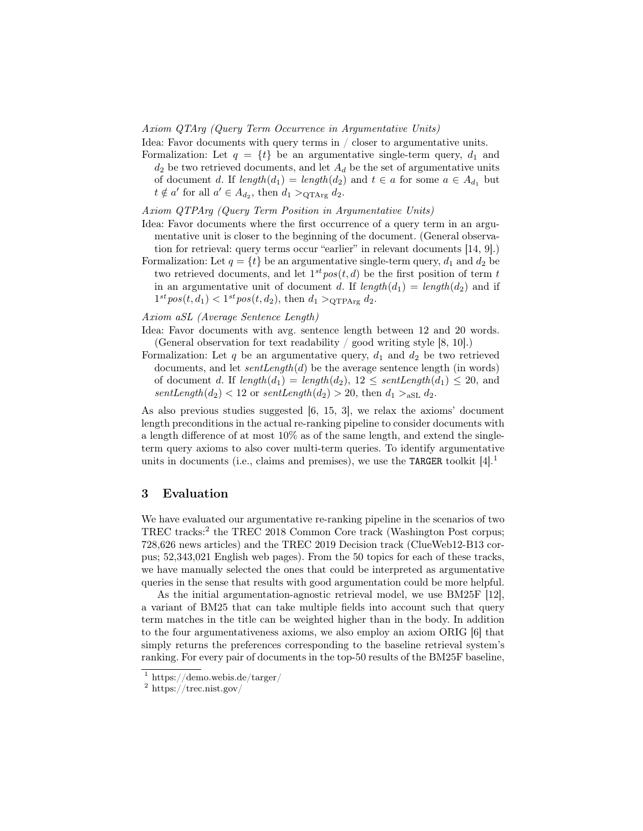Axiom QTArg (Query Term Occurrence in Argumentative Units)

Idea: Favor documents with query terms in / closer to argumentative units.

Formalization: Let  $q = \{t\}$  be an argumentative single-term query,  $d_1$  and  $d_2$  be two retrieved documents, and let  $A_d$  be the set of argumentative units of document d. If  $length(d_1) = length(d_2)$  and  $t \in a$  for some  $a \in A_{d_1}$  but  $t \notin a'$  for all  $a' \in A_{d_2}$ , then  $d_1 >_{\text{QTArg}} d_2$ .

Axiom QTPArg (Query Term Position in Argumentative Units)

- Idea: Favor documents where the first occurrence of a query term in an argumentative unit is closer to the beginning of the document. (General observation for retrieval: query terms occur "earlier" in relevant documents [14, 9].)
- Formalization: Let  $q = \{t\}$  be an argumentative single-term query,  $d_1$  and  $d_2$  be two retrieved documents, and let  $1^{st}pos(t, d)$  be the first position of term t in an argumentative unit of document d. If  $length(d_1) = length(d_2)$  and if  $1^{st}pos(t, d_1) < 1^{st}pos(t, d_2)$ , then  $d_1 >_{\text{QTPArg}} d_2$ .

Axiom aSL (Average Sentence Length)

- Idea: Favor documents with avg. sentence length between 12 and 20 words. (General observation for text readability / good writing style  $[8, 10]$ .)
- Formalization: Let q be an argumentative query,  $d_1$  and  $d_2$  be two retrieved documents, and let  $sentLength(d)$  be the average sentence length (in words) of document d. If  $length(d_1) = length(d_2), 12 \le sentLength(d_1) \le 20$ , and sentLength(d<sub>2</sub>) < 12 or sentLength(d<sub>2</sub>) > 20, then  $d_1 >_{a \text{SL}} d_2$ .

As also previous studies suggested [6, 15, 3], we relax the axioms' document length preconditions in the actual re-ranking pipeline to consider documents with a length difference of at most 10% as of the same length, and extend the singleterm query axioms to also cover multi-term queries. To identify argumentative units in documents (i.e., claims and premises), we use the TARGER toolkit  $[4].<sup>1</sup>$ 

# 3 Evaluation

We have evaluated our argumentative re-ranking pipeline in the scenarios of two TREC tracks:<sup>2</sup> the TREC 2018 Common Core track (Washington Post corpus; 728,626 news articles) and the TREC 2019 Decision track (ClueWeb12-B13 corpus; 52,343,021 English web pages). From the 50 topics for each of these tracks, we have manually selected the ones that could be interpreted as argumentative queries in the sense that results with good argumentation could be more helpful.

As the initial argumentation-agnostic retrieval model, we use BM25F [12], a variant of BM25 that can take multiple fields into account such that query term matches in the title can be weighted higher than in the body. In addition to the four argumentativeness axioms, we also employ an axiom ORIG [6] that simply returns the preferences corresponding to the baseline retrieval system's ranking. For every pair of documents in the top-50 results of the BM25F baseline,

 $\sqrt{1 - \text{https://demo.webis.de/targer/}}$ 

<sup>2</sup> https://trec.nist.gov/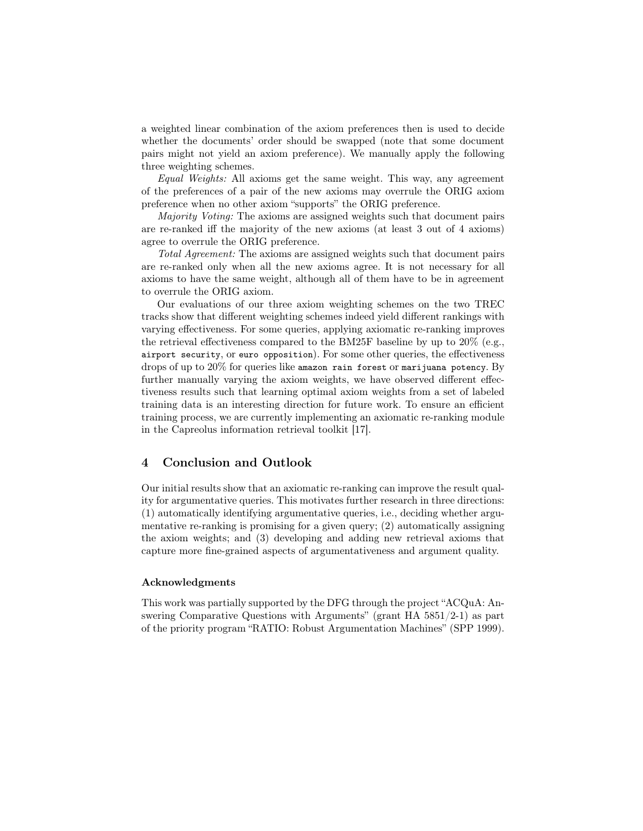a weighted linear combination of the axiom preferences then is used to decide whether the documents' order should be swapped (note that some document pairs might not yield an axiom preference). We manually apply the following three weighting schemes.

Equal Weights: All axioms get the same weight. This way, any agreement of the preferences of a pair of the new axioms may overrule the ORIG axiom preference when no other axiom "supports" the ORIG preference.

Majority Voting: The axioms are assigned weights such that document pairs are re-ranked iff the majority of the new axioms (at least 3 out of 4 axioms) agree to overrule the ORIG preference.

Total Agreement: The axioms are assigned weights such that document pairs are re-ranked only when all the new axioms agree. It is not necessary for all axioms to have the same weight, although all of them have to be in agreement to overrule the ORIG axiom.

Our evaluations of our three axiom weighting schemes on the two TREC tracks show that different weighting schemes indeed yield different rankings with varying effectiveness. For some queries, applying axiomatic re-ranking improves the retrieval effectiveness compared to the BM25F baseline by up to 20% (e.g., airport security, or euro opposition). For some other queries, the effectiveness drops of up to 20% for queries like amazon rain forest or marijuana potency. By further manually varying the axiom weights, we have observed different effectiveness results such that learning optimal axiom weights from a set of labeled training data is an interesting direction for future work. To ensure an efficient training process, we are currently implementing an axiomatic re-ranking module in the Capreolus information retrieval toolkit [17].

### 4 Conclusion and Outlook

Our initial results show that an axiomatic re-ranking can improve the result quality for argumentative queries. This motivates further research in three directions: (1) automatically identifying argumentative queries, i.e., deciding whether argumentative re-ranking is promising for a given query; (2) automatically assigning the axiom weights; and (3) developing and adding new retrieval axioms that capture more fine-grained aspects of argumentativeness and argument quality.

#### Acknowledgments

This work was partially supported by the DFG through the project "ACQuA: Answering Comparative Questions with Arguments" (grant HA 5851/2-1) as part of the priority program "RATIO: Robust Argumentation Machines" (SPP 1999).